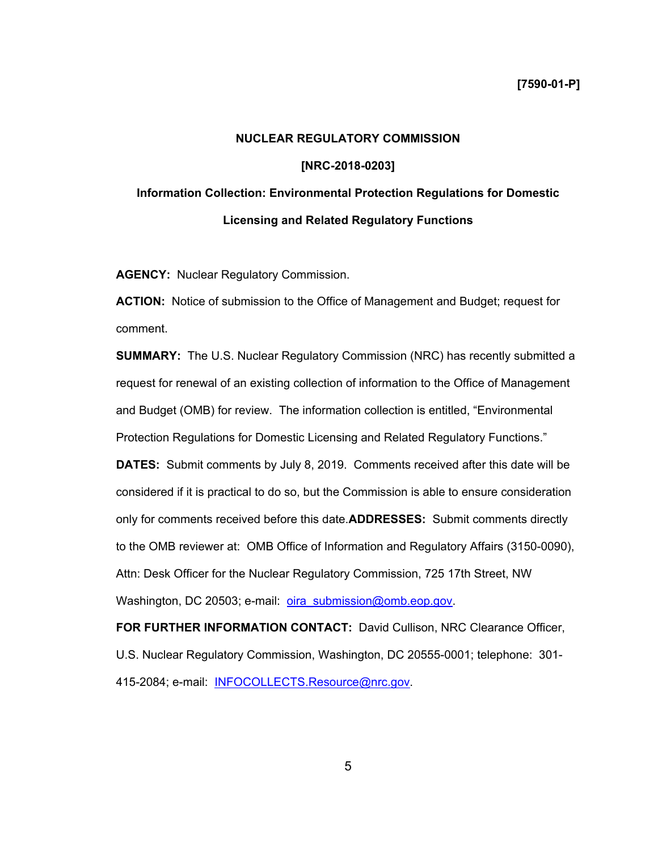## **NUCLEAR REGULATORY COMMISSION**

### **[NRC-2018-0203]**

# **Information Collection: Environmental Protection Regulations for Domestic Licensing and Related Regulatory Functions**

**AGENCY:** Nuclear Regulatory Commission.

**ACTION:** Notice of submission to the Office of Management and Budget; request for comment.

**SUMMARY:** The U.S. Nuclear Regulatory Commission (NRC) has recently submitted a request for renewal of an existing collection of information to the Office of Management and Budget (OMB) for review. The information collection is entitled, "Environmental Protection Regulations for Domestic Licensing and Related Regulatory Functions."

**DATES:** Submit comments by July 8, 2019.Comments received after this date will be considered if it is practical to do so, but the Commission is able to ensure consideration only for comments received before this date.**ADDRESSES:** Submit comments directly to the OMB reviewer at: OMB Office of Information and Regulatory Affairs (3150-0090), Attn: Desk Officer for the Nuclear Regulatory Commission, 725 17th Street, NW Washington, DC 20503; e-mail: oira\_submission@omb.eop.gov.

**FOR FURTHER INFORMATION CONTACT:** David Cullison, NRC Clearance Officer, U.S. Nuclear Regulatory Commission, Washington, DC 20555-0001; telephone: 301- 415-2084; e-mail: INFOCOLLECTS.Resource@nrc.gov.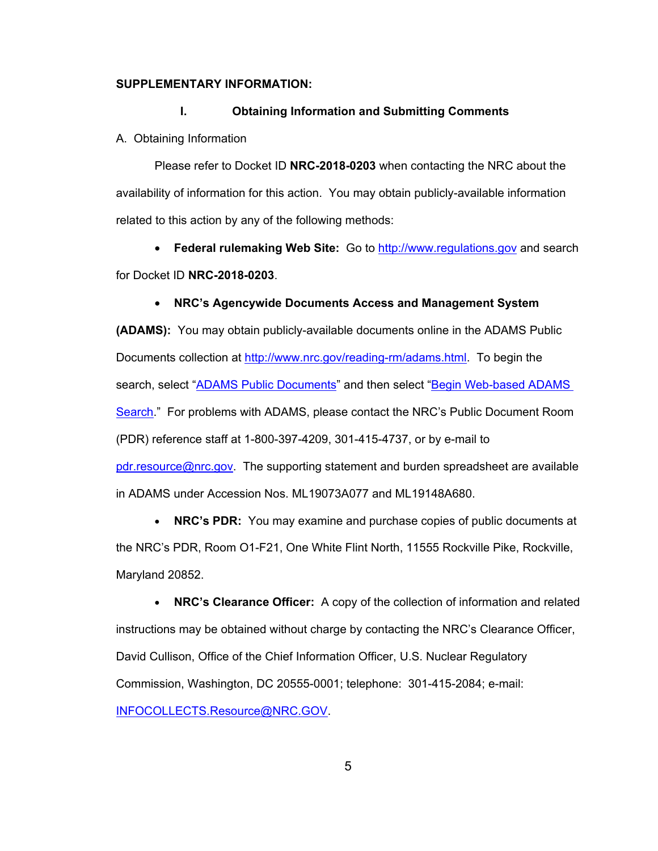## **SUPPLEMENTARY INFORMATION:**

#### **I. Obtaining Information and Submitting Comments**

A. Obtaining Information

Please refer to Docket ID **NRC-2018-0203** when contacting the NRC about the availability of information for this action. You may obtain publicly-available information related to this action by any of the following methods:

• **Federal rulemaking Web Site:** Go to http://www.regulations.gov and search for Docket ID **NRC-2018-0203**.

#### • **NRC's Agencywide Documents Access and Management System**

**(ADAMS):** You may obtain publicly-available documents online in the ADAMS Public Documents collection at http://www.nrc.gov/reading-rm/adams.html. To begin the search, select "ADAMS Public Documents" and then select "Begin Web-based ADAMS Search." For problems with ADAMS, please contact the NRC's Public Document Room (PDR) reference staff at 1-800-397-4209, 301-415-4737, or by e-mail to pdr.resource@nrc.gov. The supporting statement and burden spreadsheet are available in ADAMS under Accession Nos. ML19073A077 and ML19148A680.

• **NRC's PDR:** You may examine and purchase copies of public documents at the NRC's PDR, Room O1-F21, One White Flint North, 11555 Rockville Pike, Rockville, Maryland 20852.

• **NRC's Clearance Officer:** A copy of the collection of information and related instructions may be obtained without charge by contacting the NRC's Clearance Officer, David Cullison, Office of the Chief Information Officer, U.S. Nuclear Regulatory Commission, Washington, DC 20555-0001; telephone: 301-415-2084; e-mail: INFOCOLLECTS.Resource@NRC.GOV.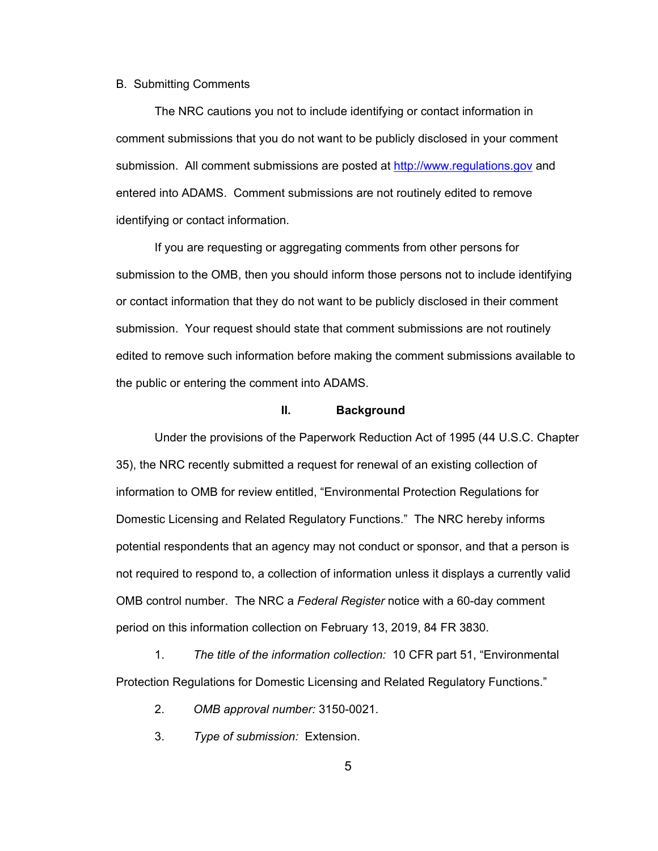#### B. Submitting Comments

The NRC cautions you not to include identifying or contact information in comment submissions that you do not want to be publicly disclosed in your comment submission. All comment submissions are posted at http://www.regulations.gov and entered into ADAMS. Comment submissions are not routinely edited to remove identifying or contact information.

If you are requesting or aggregating comments from other persons for submission to the OMB, then you should inform those persons not to include identifying or contact information that they do not want to be publicly disclosed in their comment submission. Your request should state that comment submissions are not routinely edited to remove such information before making the comment submissions available to the public or entering the comment into ADAMS.

## **II. Background**

Under the provisions of the Paperwork Reduction Act of 1995 (44 U.S.C. Chapter 35), the NRC recently submitted a request for renewal of an existing collection of information to OMB for review entitled, "Environmental Protection Regulations for Domestic Licensing and Related Regulatory Functions." The NRC hereby informs potential respondents that an agency may not conduct or sponsor, and that a person is not required to respond to, a collection of information unless it displays a currently valid OMB control number. The NRC a *Federal Register* notice with a 60-day comment period on this information collection on February 13, 2019, 84 FR 3830.

1. *The title of the information collection:* 10 CFR part 51, "Environmental Protection Regulations for Domestic Licensing and Related Regulatory Functions."

- 2. *OMB approval number:* 3150-0021.
- 3. *Type of submission:* Extension.